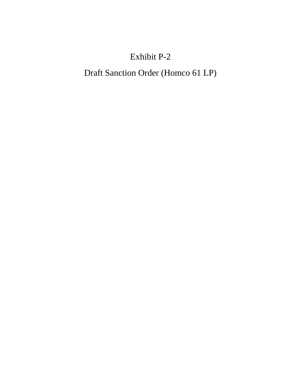# Exhibit P-2

# Draft Sanction Order (Homco 61 LP)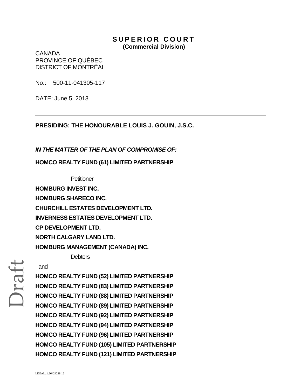## **SUPERIOR COURT (Commercial Division)**

CANADA PROVINCE OF QUÉBEC DISTRICT OF MONTRÉAL

No.: 500-11-041305-117

DATE: June 5, 2013

**PRESIDING: THE HONOURABLE LOUIS J. GOUIN, J.S.C.** 

## *IN THE MATTER OF THE PLAN OF COMPROMISE OF:*

## **HOMCO REALTY FUND (61) LIMITED PARTNERSHIP**

**Petitioner** 

**HOMBURG INVEST INC. HOMBURG SHARECO INC. CHURCHILL ESTATES DEVELOPMENT LTD. INVERNESS ESTATES DEVELOPMENT LTD. CP DEVELOPMENT LTD. NORTH CALGARY LAND LTD. HOMBURG MANAGEMENT (CANADA) INC. Debtors** 

## - and -

**HOMCO REALTY FUND (52) LIMITED PARTNERSHIP HOMCO REALTY FUND (83) LIMITED PARTNERSHIP HOMCO REALTY FUND (88) LIMITED PARTNERSHIP HOMCO REALTY FUND (89) LIMITED PARTNERSHIP HOMCO REALTY FUND (92) LIMITED PARTNERSHIP HOMCO REALTY FUND (94) LIMITED PARTNERSHIP HOMCO REALTY FUND (96) LIMITED PARTNERSHIP HOMCO REALTY FUND (105) LIMITED PARTNERSHIP HOMCO REALTY FUND (121) LIMITED PARTNERSHIP**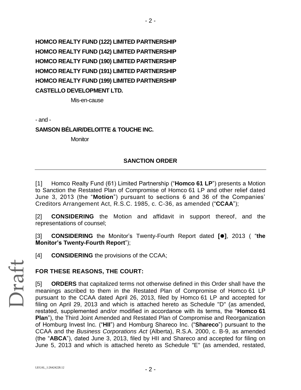**HOMCO REALTY FUND (122) LIMITED PARTNERSHIP HOMCO REALTY FUND (142) LIMITED PARTNERSHIP HOMCO REALTY FUND (190) LIMITED PARTNERSHIP HOMCO REALTY FUND (191) LIMITED PARTNERSHIP HOMCO REALTY FUND (199) LIMITED PARTNERSHIP CASTELLO DEVELOPMENT LTD.**

Mis-en-cause

- and -

**SAMSON BÉLAIR/DELOITTE & TOUCHE INC.**

**Monitor** 

## **SANCTION ORDER**

- 2 -

[1] Homco Realty Fund (61) Limited Partnership ("**Homco 61 LP**") presents a Motion to Sanction the Restated Plan of Compromise of Homco 61 LP and other relief dated June 3, 2013 (the "**Motion**") pursuant to sections 6 and 36 of the Companies' Creditors Arrangement Act, R.S.C. 1985, c. C-36, as amended ("**CCAA**");

[2] **CONSIDERING** the Motion and affidavit in support thereof, and the representations of counsel;

[3] **CONSIDERING** the Monitor's Twenty-Fourth Report dated **[]**, 2013 ( "**the Monitor's Twenty-Fourth Report**");

[4] **CONSIDERING** the provisions of the CCAA;

## **FOR THESE REASONS, THE COURT:**

[5] **ORDERS** that capitalized terms not otherwise defined in this Order shall have the meanings ascribed to them in the Restated Plan of Compromise of Homco 61 LP pursuant to the CCAA dated April 26, 2013, filed by Homco 61 LP and accepted for filing on April 29, 2013 and which is attached hereto as Schedule "D" (as amended, restated, supplemented and/or modified in accordance with its terms, the "**Homco 61 Plan**"), the Third Joint Amended and Restated Plan of Compromise and Reorganization of Homburg Invest Inc. ("**HII**") and Homburg Shareco Inc. ("**Shareco**") pursuant to the CCAA and the *Business Corporations Act* (Alberta), R.S.A. 2000, c. B-9, as amended (the "**ABCA**"), dated June 3, 2013, filed by HII and Shareco and accepted for filing on June 5, 2013 and which is attached hereto as Schedule "E" (as amended, restated,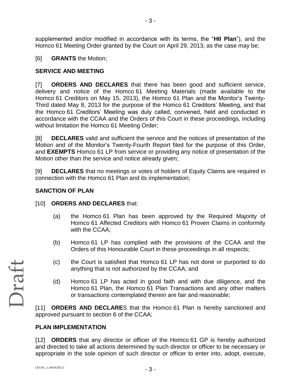supplemented and/or modified in accordance with its terms, the "**HII Plan**"), and the Homco 61 Meeting Order granted by the Court on April 29, 2013, as the case may be;

## [6] **GRANTS** the Motion;

## **SERVICE AND MEETING**

[7] **ORDERS AND DECLARES** that there has been good and sufficient service, delivery and notice of the Homco 61 Meeting Materials (made available to the Homco 61 Creditors on May 15, 2013), the Homco 61 Plan and the Monitor's Twenty-Third dated May 8, 2013 for the purpose of the Homco 61 Creditors' Meeting, and that the Homco 61 Creditors' Meeting was duly called, convened, held and conducted in accordance with the CCAA and the Orders of this Court in these proceedings, including without limitation the Homco 61 Meeting Order;

[8] **DECLARES** valid and sufficient the service and the notices of presentation of the Motion and of the Monitor's Twenty-Fourth Report filed for the purpose of this Order, and **EXEMPTS** Homco 61 LP from service or providing any notice of presentation of the Motion other than the service and notice already given;

[9] **DECLARES** that no meetings or votes of holders of Equity Claims are required in connection with the Homco 61 Plan and its implementation;

## **SANCTION OF PLAN**

## [10] **ORDERS AND DECLARES** that:

- (a) the Homco 61 Plan has been approved by the Required Majority of Homco 61 Affected Creditors with Homco 61 Proven Claims in conformity with the CCAA;
- (b) Homco 61 LP has complied with the provisions of the CCAA and the Orders of this Honourable Court in these proceedings in all respects;
- (c) the Court is satisfied that Homco 61 LP has not done or purported to do anything that is not authorized by the CCAA; and
- (d) Homco 61 LP has acted in good faith and with due diligence, and the Homco 61 Plan, the Homco 61 Plan Transactions and any other matters or transactions contemplated therein are fair and reasonable;

[11] **ORDERS AND DECLARE**S that the Homco 61 Plan is hereby sanctioned and approved pursuant to section 6 of the CCAA;

## **PLAN IMPLEMENTATION**

[12] **ORDERS** that any director or officer of the Homco 61 GP is hereby authorized and directed to take all actions determined by such director or officer to be necessary or appropriate in the sole opinion of such director or officer to enter into, adopt, execute,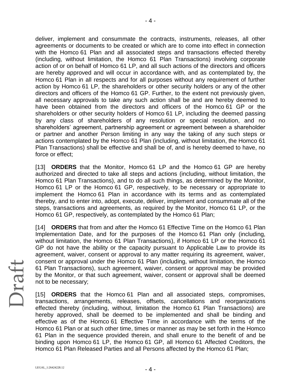deliver, implement and consummate the contracts, instruments, releases, all other agreements or documents to be created or which are to come into effect in connection with the Homco 61 Plan and all associated steps and transactions effected thereby (including, without limitation, the Homco 61 Plan Transactions) involving corporate action of or on behalf of Homco 61 LP, and all such actions of the directors and officers are hereby approved and will occur in accordance with, and as contemplated by, the Homco 61 Plan in all respects and for all purposes without any requirement of further action by Homco 61 LP, the shareholders or other security holders or any of the other directors and officers of the Homco 61 GP. Further, to the extent not previously given, all necessary approvals to take any such action shall be and are hereby deemed to have been obtained from the directors and officers of the Homco 61 GP or the shareholders or other security holders of Homco 61 LP, including the deemed passing by any class of shareholders of any resolution or special resolution, and no shareholders' agreement, partnership agreement or agreement between a shareholder or partner and another Person limiting in any way the taking of any such steps or actions contemplated by the Homco 61 Plan (including, without limitation, the Homco 61 Plan Transactions) shall be effective and shall be of, and is hereby deemed to have, no force or effect;

[13] **ORDERS** that the Monitor, Homco 61 LP and the Homco 61 GP are hereby authorized and directed to take all steps and actions (including, without limitation, the Homco 61 Plan Transactions), and to do all such things, as determined by the Monitor, Homco 61 LP or the Homco 61 GP, respectively, to be necessary or appropriate to implement the Homco 61 Plan in accordance with its terms and as contemplated thereby, and to enter into, adopt, execute, deliver, implement and consummate all of the steps, transactions and agreements, as required by the Monitor, Homco 61 LP, or the Homco 61 GP, respectively, as contemplated by the Homco 61 Plan;

[14] **ORDERS** that from and after the Homco 61 Effective Time on the Homco 61 Plan Implementation Date, and for the purposes of the Homco 61 Plan only (including, without limitation, the Homco 61 Plan Transactions), if Homco 61 LP or the Homco 61 GP do not have the ability or the capacity pursuant to Applicable Law to provide its agreement, waiver, consent or approval to any matter requiring its agreement, waiver, consent or approval under the Homco 61 Plan (including, without limitation, the Homco 61 Plan Transactions), such agreement, waiver, consent or approval may be provided by the Monitor, or that such agreement, waiver, consent or approval shall be deemed not to be necessary;

[15] **ORDERS** that the Homco 61 Plan and all associated steps, compromises, transactions, arrangements, releases, offsets, cancellations and reorganizations effected thereby (including, without, limitation the Homco 61 Plan Transactions) are hereby approved, shall be deemed to be implemented and shall be binding and effective as of the Homco 61 Effective Time in accordance with the terms of the Homco 61 Plan or at such other time, times or manner as may be set forth in the Homco 61 Plan in the sequence provided therein, and shall enure to the benefit of and be binding upon Homco 61 LP, the Homco 61 GP, all Homco 61 Affected Creditors, the Homco 61 Plan Released Parties and all Persons affected by the Homco 61 Plan;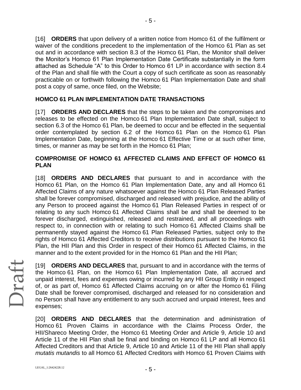[16] **ORDERS** that upon delivery of a written notice from Homco 61 of the fulfilment or waiver of the conditions precedent to the implementation of the Homco 61 Plan as set out and in accordance with section 8.3 of the Homco 61 Plan, the Monitor shall deliver the Monitor's Homco 61 Plan Implementation Date Certificate substantially in the form attached as Schedule "A" to this Order to Homco 61 LP in accordance with section 8.4 of the Plan and shall file with the Court a copy of such certificate as soon as reasonably practicable on or forthwith following the Homco 61 Plan Implementation Date and shall post a copy of same, once filed, on the Website;

## **HOMCO 61 PLAN IMPLEMENTATION DATE TRANSACTIONS**

[17] **ORDERS AND DECLARES** that the steps to be taken and the compromises and releases to be effected on the Homco 61 Plan Implementation Date shall, subject to section 6.3 of the Homco 61 Plan, be deemed to occur and be effected in the sequential order contemplated by section 6.2 of the Homco 61 Plan on the Homco 61 Plan Implementation Date, beginning at the Homco 61 Effective Time or at such other time, times, or manner as may be set forth in the Homco 61 Plan;

## **COMPROMISE OF HOMCO 61 AFFECTED CLAIMS AND EFFECT OF HOMCO 61 PLAN**

[18] **ORDERS AND DECLARES** that pursuant to and in accordance with the Homco 61 Plan, on the Homco 61 Plan Implementation Date, any and all Homco 61 Affected Claims of any nature whatsoever against the Homco 61 Plan Released Parties shall be forever compromised, discharged and released with prejudice, and the ability of any Person to proceed against the Homco 61 Plan Released Parties in respect of or relating to any such Homco 61 Affected Claims shall be and shall be deemed to be forever discharged, extinguished, released and restrained, and all proceedings with respect to, in connection with or relating to such Homco 61 Affected Claims shall be permanently stayed against the Homco 61 Plan Released Parties, subject only to the rights of Homco 61 Affected Creditors to receive distributions pursuant to the Homco 61 Plan, the HII Plan and this Order in respect of their Homco 61 Affected Claims, in the manner and to the extent provided for in the Homco 61 Plan and the HII Plan;

[19] **ORDERS AND DECLARES** that, pursuant to and in accordance with the terms of the Homco 61 Plan, on the Homco 61 Plan Implementation Date, all accrued and unpaid interest, fees and expenses owing or incurred by any HII Group Entity in respect of, or as part of, Homco 61 Affected Claims accruing on or after the Homco 61 Filing Date shall be forever compromised, discharged and released for no consideration and no Person shall have any entitlement to any such accrued and unpaid interest, fees and expenses;

[20] **ORDERS AND DECLARES** that the determination and administration of Homco 61 Proven Claims in accordance with the Claims Process Order, the HII/Shareco Meeting Order, the Homco 61 Meeting Order and Article 9, Article 10 and Article 11 of the HII Plan shall be final and binding on Homco 61 LP and all Homco 61 Affected Creditors and that Article 9, Article 10 and Article 11 of the HII Plan shall apply *mutatis mutandis* to all Homco 61 Affected Creditors with Homco 61 Proven Claims with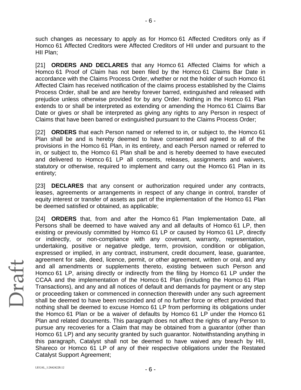such changes as necessary to apply as for Homco 61 Affected Creditors only as if Homco 61 Affected Creditors were Affected Creditors of HII under and pursuant to the HII Plan;

- 6 -

[21] **ORDERS AND DECLARES** that any Homco 61 Affected Claims for which a Homco 61 Proof of Claim has not been filed by the Homco 61 Claims Bar Date in accordance with the Claims Process Order, whether or not the holder of such Homco 61 Affected Claim has received notification of the claims process established by the Claims Process Order, shall be and are hereby forever barred, extinguished and released with prejudice unless otherwise provided for by any Order. Nothing in the Homco 61 Plan extends to or shall be interpreted as extending or amending the Homco 61 Claims Bar Date or gives or shall be interpreted as giving any rights to any Person in respect of Claims that have been barred or extinguished pursuant to the Claims Process Order;

[22] **ORDERS** that each Person named or referred to in, or subject to, the Homco 61 Plan shall be and is hereby deemed to have consented and agreed to all of the provisions in the Homco 61 Plan, in its entirety, and each Person named or referred to in, or subject to, the Homco 61 Plan shall be and is hereby deemed to have executed and delivered to Homco 61 LP all consents, releases, assignments and waivers, statutory or otherwise, required to implement and carry out the Homco 61 Plan in its entirety;

[23] **DECLARES** that any consent or authorization required under any contracts, leases, agreements or arrangements in respect of any change in control, transfer of equity interest or transfer of assets as part of the implementation of the Homco 61 Plan be deemed satisfied or obtained, as applicable;

[24] **ORDERS** that, from and after the Homco 61 Plan Implementation Date, all Persons shall be deemed to have waived any and all defaults of Homco 61 LP, then existing or previously committed by Homco 61 LP or caused by Homco 61 LP, directly or indirectly, or non-compliance with any covenant, warranty, representation, undertaking, positive or negative pledge, term, provision, condition or obligation, expressed or implied, in any contract, instrument, credit document, lease, guarantee, agreement for sale, deed, licence, permit, or other agreement, written or oral, and any and all amendments or supplements thereto, existing between such Person and Homco 61 LP, arising directly or indirectly from the filing by Homco 61 LP under the CCAA and the implementation of the Homco 61 Plan (including the Homco 61 Plan Transactions), and any and all notices of default and demands for payment or any step or proceeding taken or commenced in connection therewith under any such agreement shall be deemed to have been rescinded and of no further force or effect provided that nothing shall be deemed to excuse Homco 61 LP from performing its obligations under the Homco 61 Plan or be a waiver of defaults by Homco 61 LP under the Homco 61 Plan and related documents. This paragraph does not affect the rights of any Person to pursue any recoveries for a Claim that may be obtained from a guarantor (other than Homco 61 LP) and any security granted by such guarantor. Notwithstanding anything in this paragraph, Catalyst shall not be deemed to have waived any breach by HII, Shareco or Homco 61 LP of any of their respective obligations under the Restated Catalyst Support Agreement;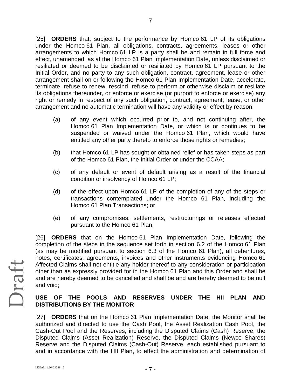[25] **ORDERS** that, subject to the performance by Homco 61 LP of its obligations under the Homco 61 Plan, all obligations, contracts, agreements, leases or other arrangements to which Homco 61 LP is a party shall be and remain in full force and effect, unamended, as at the Homco 61 Plan Implementation Date, unless disclaimed or resiliated or deemed to be disclaimed or resiliated by Homco 61 LP pursuant to the Initial Order, and no party to any such obligation, contract, agreement, lease or other arrangement shall on or following the Homco 61 Plan Implementation Date, accelerate, terminate, refuse to renew, rescind, refuse to perform or otherwise disclaim or resiliate its obligations thereunder, or enforce or exercise (or purport to enforce or exercise) any right or remedy in respect of any such obligation, contract, agreement, lease, or other arrangement and no automatic termination will have any validity or effect by reason:

- (a) of any event which occurred prior to, and not continuing after, the Homco 61 Plan Implementation Date, or which is or continues to be suspended or waived under the Homco 61 Plan, which would have entitled any other party thereto to enforce those rights or remedies;
- (b) that Homco 61 LP has sought or obtained relief or has taken steps as part of the Homco 61 Plan, the Initial Order or under the CCAA;
- (c) of any default or event of default arising as a result of the financial condition or insolvency of Homco 61 LP;
- (d) of the effect upon Homco 61 LP of the completion of any of the steps or transactions contemplated under the Homco 61 Plan, including the Homco 61 Plan Transactions; or
- (e) of any compromises, settlements, restructurings or releases effected pursuant to the Homco 61 Plan;

[26] **ORDERS** that on the Homco 61 Plan Implementation Date, following the completion of the steps in the sequence set forth in section 6.2 of the Homco 61 Plan (as may be modified pursuant to section 6.3 of the Homco 61 Plan), all debentures, notes, certificates, agreements, invoices and other instruments evidencing Homco 61 Affected Claims shall not entitle any holder thereof to any consideration or participation other than as expressly provided for in the Homco 61 Plan and this Order and shall be and are hereby deemed to be cancelled and shall be and are hereby deemed to be null and void;

## **USE OF THE POOLS AND RESERVES UNDER THE HII PLAN AND DISTRIBUTIONS BY THE MONITOR**

[27] **ORDERS** that on the Homco 61 Plan Implementation Date, the Monitor shall be authorized and directed to use the Cash Pool, the Asset Realization Cash Pool, the Cash-Out Pool and the Reserves, including the Disputed Claims (Cash) Reserve, the Disputed Claims (Asset Realization) Reserve, the Disputed Claims (Newco Shares) Reserve and the Disputed Claims (Cash-Out) Reserve, each established pursuant to and in accordance with the HII Plan, to effect the administration and determination of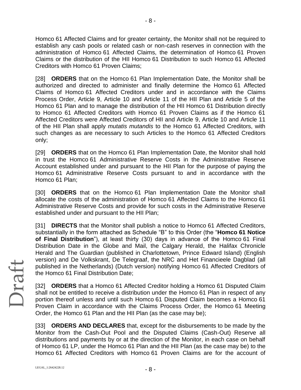Homco 61 Affected Claims and for greater certainty, the Monitor shall not be required to establish any cash pools or related cash or non-cash reserves in connection with the administration of Homco 61 Affected Claims, the determination of Homco 61 Proven Claims or the distribution of the HII Homco 61 Distribution to such Homco 61 Affected Creditors with Homco 61 Proven Claims;

- 8 -

[28] **ORDERS** that on the Homco 61 Plan Implementation Date, the Monitor shall be authorized and directed to administer and finally determine the Homco 61 Affected Claims of Homco 61 Affected Creditors under and in accordance with the Claims Process Order, Article 9, Article 10 and Article 11 of the HII Plan and Article 5 of the Homco 61 Plan and to manage the distribution of the HII Homco 61 Distribution directly to Homco 61 Affected Creditors with Homco 61 Proven Claims as if the Homco 61 Affected Creditors were Affected Creditors of HII and Article 9, Article 10 and Article 11 of the HII Plan shall apply *mutatis mutandis* to the Homco 61 Affected Creditors, with such changes as are necessary to such Articles to the Homco 61 Affected Creditors only;

[29] **ORDERS** that on the Homco 61 Plan Implementation Date, the Monitor shall hold in trust the Homco 61 Administrative Reserve Costs in the Administrative Reserve Account established under and pursuant to the HII Plan for the purpose of paying the Homco 61 Administrative Reserve Costs pursuant to and in accordance with the Homco 61 Plan;

[30] **ORDERS** that on the Homco 61 Plan Implementation Date the Monitor shall allocate the costs of the administration of Homco 61 Affected Claims to the Homco 61 Administrative Reserve Costs and provide for such costs in the Administrative Reserve established under and pursuant to the HII Plan;

[31] **DIRECTS** that the Monitor shall publish a notice to Homco 61 Affected Creditors, substantially in the form attached as Schedule "B" to this Order (the "**Homco 61 Notice of Final Distribution**"), at least thirty (30) days in advance of the Homco 61 Final Distribution Date in the Globe and Mail, the Calgary Herald, the Halifax Chronicle Herald and The Guardian (published in Charlottetown, Prince Edward Island) (English version) and De Volkskrant, De Telegraaf, the NRC and Het Financieele Dagblad (all published in the Netherlands) (Dutch version) notifying Homco 61 Affected Creditors of the Homco 61 Final Distribution Date;

[32] **ORDERS** that a Homco 61 Affected Creditor holding a Homco 61 Disputed Claim shall not be entitled to receive a distribution under the Homco 61 Plan in respect of any portion thereof unless and until such Homco 61 Disputed Claim becomes a Homco 61 Proven Claim in accordance with the Claims Process Order, the Homco 61 Meeting Order, the Homco 61 Plan and the HII Plan (as the case may be);

[33] **ORDERS AND DECLARES** that, except for the disbursements to be made by the Monitor from the Cash-Out Pool and the Disputed Claims (Cash-Out) Reserve all distributions and payments by or at the direction of the Monitor, in each case on behalf of Homco 61 LP, under the Homco 61 Plan and the HII Plan (as the case may be) to the Homco 61 Affected Creditors with Homco 61 Proven Claims are for the account of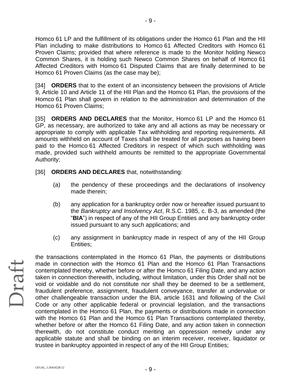Homco 61 LP and the fulfillment of its obligations under the Homco 61 Plan and the HII Plan including to make distributions to Homco 61 Affected Creditors with Homco 61 Proven Claims; provided that where reference is made to the Monitor holding Newco Common Shares, it is holding such Newco Common Shares on behalf of Homco 61 Affected Creditors with Homco 61 Disputed Claims that are finally determined to be Homco 61 Proven Claims (as the case may be);

[34] **ORDERS** that to the extent of an inconsistency between the provisions of Article 9, Article 10 and Article 11 of the HII Plan and the Homco 61 Plan, the provisions of the Homco 61 Plan shall govern in relation to the administration and determination of the Homco 61 Proven Claims;

[35] **ORDERS AND DECLARES** that the Monitor, Homco 61 LP and the Homco 61 GP, as necessary, are authorized to take any and all actions as may be necessary or appropriate to comply with applicable Tax withholding and reporting requirements. All amounts withheld on account of Taxes shall be treated for all purposes as having been paid to the Homco 61 Affected Creditors in respect of which such withholding was made, provided such withheld amounts be remitted to the appropriate Governmental Authority;

- [36] **ORDERS AND DECLARES** that, notwithstanding:
	- (a) the pendency of these proceedings and the declarations of insolvency made therein;
	- (b) any application for a bankruptcy order now or hereafter issued pursuant to the *Bankruptcy and Insolvency Act*, R.S.C. 1985, c. B-3, as amended (the "**BIA**") in respect of any of the HII Group Entities and any bankruptcy order issued pursuant to any such applications; and
	- (c) any assignment in bankruptcy made in respect of any of the HII Group Entities;

Draft

the transactions contemplated in the Homco 61 Plan, the payments or distributions made in connection with the Homco 61 Plan and the Homco 61 Plan Transactions contemplated thereby, whether before or after the Homco 61 Filing Date, and any action taken in connection therewith, including, without limitation, under this Order shall not be void or voidable and do not constitute nor shall they be deemed to be a settlement, fraudulent preference, assignment, fraudulent conveyance, transfer at undervalue or other challengeable transaction under the BIA, article 1631 and following of the Civil Code or any other applicable federal or provincial legislation, and the transactions contemplated in the Homco 61 Plan, the payments or distributions made in connection with the Homco 61 Plan and the Homco 61 Plan Transactions contemplated thereby, whether before or after the Homco 61 Filing Date, and any action taken in connection therewith, do not constitute conduct meriting an oppression remedy under any applicable statute and shall be binding on an interim receiver, receiver, liquidator or trustee in bankruptcy appointed in respect of any of the HII Group Entities;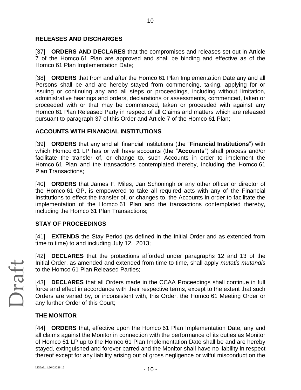## **RELEASES AND DISCHARGES**

[37] **ORDERS AND DECLARES** that the compromises and releases set out in Article 7 of the Homco 61 Plan are approved and shall be binding and effective as of the Homco 61 Plan Implementation Date;

[38] **ORDERS** that from and after the Homco 61 Plan Implementation Date any and all Persons shall be and are hereby stayed from commencing, taking, applying for or issuing or continuing any and all steps or proceedings, including without limitation, administrative hearings and orders, declarations or assessments, commenced, taken or proceeded with or that may be commenced, taken or proceeded with against any Homco 61 Plan Released Party in respect of all Claims and matters which are released pursuant to paragraph 37 of this Order and Article 7 of the Homco 61 Plan;

## **ACCOUNTS WITH FINANCIAL INSTITUTIONS**

[39] **ORDERS** that any and all financial institutions (the "**Financial Institutions**") with which Homco 61 LP has or will have accounts (the "**Accounts**") shall process and/or facilitate the transfer of, or change to, such Accounts in order to implement the Homco 61 Plan and the transactions contemplated thereby, including the Homco 61 Plan Transactions;

[40] **ORDERS** that James F. Miles, Jan Schöningh or any other officer or director of the Homco 61 GP, is empowered to take all required acts with any of the Financial Institutions to effect the transfer of, or changes to, the Accounts in order to facilitate the implementation of the Homco 61 Plan and the transactions contemplated thereby, including the Homco 61 Plan Transactions;

## **STAY OF PROCEEDINGS**

[41] **EXTENDS** the Stay Period (as defined in the Initial Order and as extended from time to time) to and including July 12, 2013;

[42] **DECLARES** that the protections afforded under paragraphs 12 and 13 of the Initial Order, as amended and extended from time to time, shall apply *mutatis mutandis* to the Homco 61 Plan Released Parties;

[43] **DECLARES** that all Orders made in the CCAA Proceedings shall continue in full force and effect in accordance with their respective terms, except to the extent that such Orders are varied by, or inconsistent with, this Order, the Homco 61 Meeting Order or any further Order of this Court;

## **THE MONITOR**

[44] **ORDERS** that, effective upon the Homco 61 Plan Implementation Date, any and all claims against the Monitor in connection with the performance of its duties as Monitor of Homco 61 LP up to the Homco 61 Plan Implementation Date shall be and are hereby stayed, extinguished and forever barred and the Monitor shall have no liability in respect thereof except for any liability arising out of gross negligence or wilful misconduct on the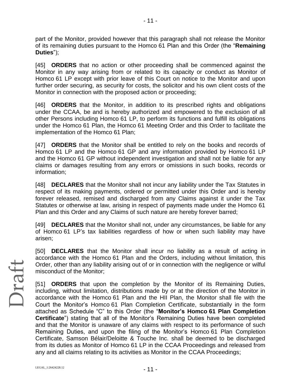part of the Monitor, provided however that this paragraph shall not release the Monitor of its remaining duties pursuant to the Homco 61 Plan and this Order (the "**Remaining Duties**");

- 11 -

[45] **ORDERS** that no action or other proceeding shall be commenced against the Monitor in any way arising from or related to its capacity or conduct as Monitor of Homco 61 LP except with prior leave of this Court on notice to the Monitor and upon further order securing, as security for costs, the solicitor and his own client costs of the Monitor in connection with the proposed action or proceeding;

[46] **ORDERS** that the Monitor, in addition to its prescribed rights and obligations under the CCAA, be and is hereby authorized and empowered to the exclusion of all other Persons including Homco 61 LP, to perform its functions and fulfill its obligations under the Homco 61 Plan, the Homco 61 Meeting Order and this Order to facilitate the implementation of the Homco 61 Plan;

[47] **ORDERS** that the Monitor shall be entitled to rely on the books and records of Homco 61 LP and the Homco 61 GP and any information provided by Homco 61 LP and the Homco 61 GP without independent investigation and shall not be liable for any claims or damages resulting from any errors or omissions in such books, records or information;

[48] **DECLARES** that the Monitor shall not incur any liability under the Tax Statutes in respect of its making payments, ordered or permitted under this Order and is hereby forever released, remised and discharged from any Claims against it under the Tax Statutes or otherwise at law, arising in respect of payments made under the Homco 61 Plan and this Order and any Claims of such nature are hereby forever barred;

[49] **DECLARES** that the Monitor shall not, under any circumstances, be liable for any of Homco 61 LP's tax liabilities regardless of how or when such liability may have arisen;

[50] **DECLARES** that the Monitor shall incur no liability as a result of acting in accordance with the Homco 61 Plan and the Orders, including without limitation, this Order, other than any liability arising out of or in connection with the negligence or wilful misconduct of the Monitor;

[51] **ORDERS** that upon the completion by the Monitor of its Remaining Duties, including, without limitation, distributions made by or at the direction of the Monitor in accordance with the Homco 61 Plan and the HII Plan, the Monitor shall file with the Court the Monitor's Homco 61 Plan Completion Certificate, substantially in the form attached as Schedule "C" to this Order (the "**Monitor's Homco 61 Plan Completion Certificate**") stating that all of the Monitor's Remaining Duties have been completed and that the Monitor is unaware of any claims with respect to its performance of such Remaining Duties, and upon the filing of the Monitor's Homco 61 Plan Completion Certificate, Samson Bélair/Deloitte & Touche Inc. shall be deemed to be discharged from its duties as Monitor of Homco 61 LP in the CCAA Proceedings and released from any and all claims relating to its activities as Monitor in the CCAA Proceedings;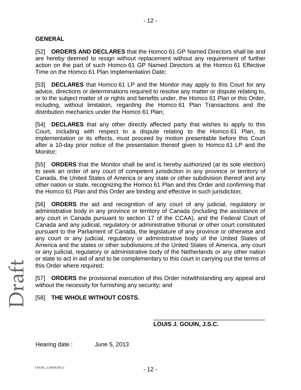## **GENERAL**

[52] **ORDERS AND DECLARES** that the Homco 61 GP Named Directors shall be and are hereby deemed to resign without replacement without any requirement of further action on the part of such Homco 61 GP Named Directors at the Homco 61 Effective Time on the Homco 61 Plan Implementation Date;

[53] **DECLARES** that Homco 61 LP and the Monitor may apply to this Court for any advice, directions or determinations required to resolve any matter or dispute relating to, or to the subject matter of or rights and benefits under, the Homco 61 Plan or this Order, including, without limitation, regarding the Homco 61 Plan Transactions and the distribution mechanics under the Homco 61 Plan;

[54] **DECLARES** that any other directly affected party that wishes to apply to this Court, including with respect to a dispute relating to the Homco 61 Plan, its implementation or its effects, must proceed by motion presentable before this Court after a 10-day prior notice of the presentation thereof given to Homco 61 LP and the Monitor;

[55] **ORDERS** that the Monitor shall be and is hereby authorized (at its sole election) to seek an order of any court of competent jurisdiction in any province or territory of Canada, the United States of America or any state or other subdivision thereof and any other nation or state, recognizing the Homco 61 Plan and this Order and confirming that the Homco 61 Plan and this Order are binding and effective in such jurisdiction;

[56] **ORDERS** the aid and recognition of any court of any judicial, regulatory or administrative body in any province or territory of Canada (including the assistance of any court in Canada pursuant to section 17 of the CCAA), and the Federal Court of Canada and any judicial, regulatory or administrative tribunal or other court constituted pursuant to the Parliament of Canada, the legislature of any province or otherwise and any court or any judicial, regulatory or administrative body of the United States of America and the states or other subdivisions of the United States of America, any court or any judicial, regulatory or administrative body of the Netherlands or any other nation or state to act in aid of and to be complementary to this court in carrying out the terms of this Order where required;

[57] **ORDERS** the provisional execution of this Order notwithstanding any appeal and without the necessity for furnishing any security; and

## [58] **THE WHOLE WITHOUT COSTS.**

## **LOUIS J. GOUIN, J.S.C.**

\_\_\_\_\_\_\_\_\_\_\_\_\_\_\_\_\_\_\_\_\_\_\_\_\_\_\_\_\_\_\_\_\_\_

Hearing date : June 5, 2013

Draft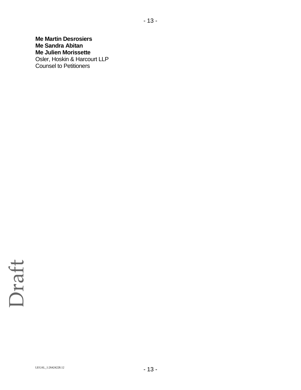## **Me Martin Desrosiers Me Sandra Abitan Me Julien Morissette** Osler, Hoskin & Harcourt LLP Counsel to Petitioners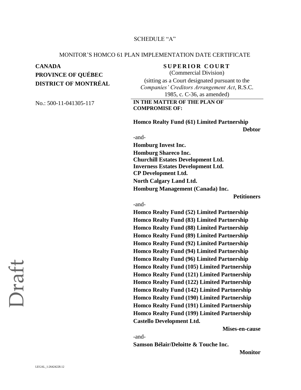### SCHEDULE "A"

#### MONITOR'S HOMCO 61 PLAN IMPLEMENTATION DATE CERTIFICATE

## **CANADA SUPERIOR COURT PROVINCE OF QUÉBEC DISTRICT OF MONTRÉAL**

(Commercial Division) (sitting as a Court designated pursuant to the *Companies' Creditors Arrangement Act*, R.S.C. 1985, c. C-36, as amended)

### No.: 500-11-041305-117 **IN THE MATTER OF THE PLAN OF COMPROMISE OF:**

**Homco Realty Fund (61) Limited Partnership**

**Debtor**

#### -and-

**Homburg Invest Inc. Homburg Shareco Inc. Churchill Estates Development Ltd. Inverness Estates Development Ltd. CP Development Ltd. North Calgary Land Ltd. Homburg Management (Canada) Inc.**

**Petitioners**

#### -and-

**Homco Realty Fund (52) Limited Partnership Homco Realty Fund (83) Limited Partnership Homco Realty Fund (88) Limited Partnership Homco Realty Fund (89) Limited Partnership Homco Realty Fund (92) Limited Partnership Homco Realty Fund (94) Limited Partnership Homco Realty Fund (96) Limited Partnership Homco Realty Fund (105) Limited Partnership Homco Realty Fund (121) Limited Partnership Homco Realty Fund (122) Limited Partnership Homco Realty Fund (142) Limited Partnership Homco Realty Fund (190) Limited Partnership Homco Realty Fund (191) Limited Partnership Homco Realty Fund (199) Limited Partnership Castello Development Ltd.**

**Mises-en-cause** 

-and-

**Samson Bélair/Deloitte & Touche Inc.** 

**Monitor**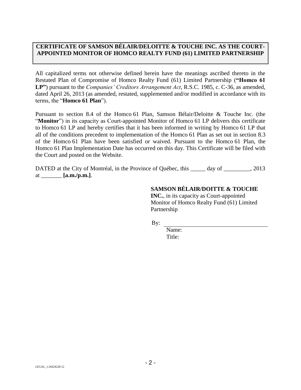## **CERTIFICATE OF SAMSON BÉLAIR/DELOITTE & TOUCHE INC. AS THE COURT-APPOINTED MONITOR OF HOMCO REALTY FUND (61) LIMITED PARTNERSHIP**

All capitalized terms not otherwise defined herein have the meanings ascribed thereto in the Restated Plan of Compromise of Homco Realty Fund (61) Limited Partnership (**"Homco 61 LP"**) pursuant to the *Companies' Creditors Arrangement Act*, R.S.C. 1985, c. C-36, as amended, dated April 26, 2013 (as amended, restated, supplemented and/or modified in accordance with its terms, the "**Homco 61 Plan**").

Pursuant to section 8.4 of the Homco 61 Plan, Samson Bélair/Deloitte & Touche Inc. (the "**Monitor**") in its capacity as Court-appointed Monitor of Homco 61 LP delivers this certificate to Homco 61 LP and hereby certifies that it has been informed in writing by Homco 61 LP that all of the conditions precedent to implementation of the Homco 61 Plan as set out in section 8.3 of the Homco 61 Plan have been satisfied or waived. Pursuant to the Homco 61 Plan, the Homco 61 Plan Implementation Date has occurred on this day. This Certificate will be filed with the Court and posted on the Website.

DATED at the City of Montréal, in the Province of Québec, this \_\_\_\_\_\_ day of \_\_\_\_\_\_\_\_, 2013 at \_\_\_\_\_\_\_ **[a.m./p.m.]**.

## **SAMSON BÉLAIR/DOITTE & TOUCHE**

**INC.**, in its capacity as Court-appointed Monitor of Homco Realty Fund (61) Limited Partnership

By:

Name: Title: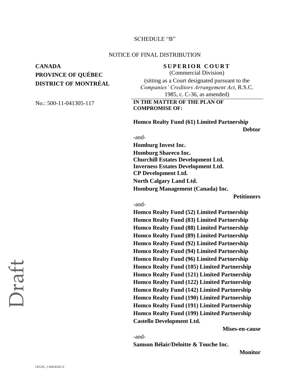#### SCHEDULE "B"

#### NOTICE OF FINAL DISTRIBUTION

## **CANADA SUPERIOR COURT PROVINCE OF QUÉBEC DISTRICT OF MONTRÉAL**

(Commercial Division) (sitting as a Court designated pursuant to the *Companies' Creditors Arrangement Act*, R.S.C. 1985, c. C-36, as amended)

#### No.: 500-11-041305-117 **IN THE MATTER OF THE PLAN OF COMPROMISE OF:**

**Homco Realty Fund (61) Limited Partnership**

**Debtor**

#### -and-

**Homburg Invest Inc. Homburg Shareco Inc. Churchill Estates Development Ltd. Inverness Estates Development Ltd. CP Development Ltd. North Calgary Land Ltd. Homburg Management (Canada) Inc.**

**Petitioners**

#### -and-

**Homco Realty Fund (52) Limited Partnership Homco Realty Fund (83) Limited Partnership Homco Realty Fund (88) Limited Partnership Homco Realty Fund (89) Limited Partnership Homco Realty Fund (92) Limited Partnership Homco Realty Fund (94) Limited Partnership Homco Realty Fund (96) Limited Partnership Homco Realty Fund (105) Limited Partnership Homco Realty Fund (121) Limited Partnership Homco Realty Fund (122) Limited Partnership Homco Realty Fund (142) Limited Partnership Homco Realty Fund (190) Limited Partnership Homco Realty Fund (191) Limited Partnership Homco Realty Fund (199) Limited Partnership Castello Development Ltd.**

**Mises-en-cause** 

-and-

**Samson Bélair/Deloitte & Touche Inc.** 

**Monitor**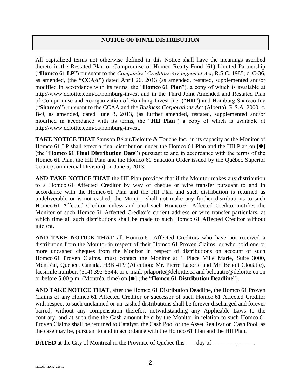## **NOTICE OF FINAL DISTRIBUTION**

All capitalized terms not otherwise defined in this Notice shall have the meanings ascribed thereto in the Restated Plan of Compromise of Homco Realty Fund (61) Limited Partnership ("**Homco 61 LP**") pursuant to the *Companies' Creditors Arrangement Act*, R.S.C. 1985, c. C-36, as amended, (the **"CCAA"**) dated April 26, 2013 (as amended, restated, supplemented and/or modified in accordance with its terms, the "**Homco 61 Plan**"), a copy of which is available at http://www.deloitte.com/ca/homburg-invest and in the Third Joint Amended and Restated Plan of Compromise and Reorganization of Homburg Invest Inc. ("**HII**") and Homburg Shareco Inc ("**Shareco**") pursuant to the CCAA and the *Business Corporations Act* (Alberta), R.S.A. 2000, c. B-9, as amended, dated June 3, 2013, (as further amended, restated, supplemented and/or modified in accordance with its terms, the "**HII Plan**") a copy of which is available at http://www.deloitte.com/ca/homburg-invest.

**TAKE NOTICE THAT** Samson Bélair/Deloitte & Touche Inc., in its capacity as the Monitor of Homco 61 LP shall effect a final distribution under the Homco 61 Plan and the HII Plan on **[]** (the "**Homco 61 Final Distribution Date**") pursuant to and in accordance with the terms of the Homco 61 Plan, the HII Plan and the Homco 61 Sanction Order issued by the Québec Superior Court (Commercial Division) on June 5, 2013.

**AND TAKE NOTICE THAT** the HII Plan provides that if the Monitor makes any distribution to a Homco 61 Affected Creditor by way of cheque or wire transfer pursuant to and in accordance with the Homco 61 Plan and the HII Plan and such distribution is returned as undeliverable or is not cashed, the Monitor shall not make any further distributions to such Homco 61 Affected Creditor unless and until such Homco 61 Affected Creditor notifies the Monitor of such Homco 61 Affected Creditor's current address or wire transfer particulars, at which time all such distributions shall be made to such Homco 61 Affected Creditor without interest.

**AND TAKE NOTICE THAT** all Homco 61 Affected Creditors who have not received a distribution from the Monitor in respect of their Homco 61 Proven Claims, or who hold one or more uncashed cheques from the Monitor in respect of distributions on account of such Homco 61 Proven Claims, must contact the Monitor at 1 Place Ville Marie, Suite 3000, Montréal, Québec, Canada, H3B 4T9 (Attention: Mr. Pierre Laporte and Mr. Benoît Clouâtre), facsimile number: (514) 393-5344, or e-mail: pilaporte@deloitte.ca and bclouatre@deloitte.ca on or before 5:00 p.m. (Montréal time) on **[]** (the "**Homco 61 Distribution Deadline**").

**AND TAKE NOTICE THAT**, after the Homco 61 Distribution Deadline, the Homco 61 Proven Claims of any Homco 61 Affected Creditor or successor of such Homco 61 Affected Creditor with respect to such unclaimed or un-cashed distributions shall be forever discharged and forever barred, without any compensation therefor, notwithstanding any Applicable Laws to the contrary, and at such time the Cash amount held by the Monitor in relation to such Homco 61 Proven Claims shall be returned to Catalyst, the Cash Pool or the Asset Realization Cash Pool, as the case may be, pursuant to and in accordance with the Homco 61 Plan and the HII Plan.

**DATED** at the City of Montreal in the Province of Quebec this \_\_\_ day of \_\_\_\_\_\_\_, \_\_\_\_\_.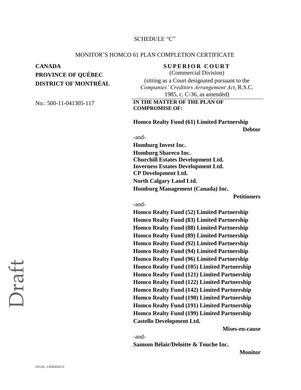### SCHEDULE "C"

#### MONITOR'S HOMCO 61 PLAN COMPLETION CERTIFICATE

## **CANADA SUPERIOR COURT PROVINCE OF QUÉBEC DISTRICT OF MONTRÉAL**

(Commercial Division) (sitting as a Court designated pursuant to the *Companies' Creditors Arrangement Act*, R.S.C. 1985, c. C-36, as amended)

### No.: 500-11-041305-117 **IN THE MATTER OF THE PLAN OF COMPROMISE OF:**

**Homco Realty Fund (61) Limited Partnership**

**Debtor**

#### -and-

**Homburg Invest Inc. Homburg Shareco Inc. Churchill Estates Development Ltd. Inverness Estates Development Ltd. CP Development Ltd. North Calgary Land Ltd. Homburg Management (Canada) Inc.**

**Petitioners**

#### -and-

**Homco Realty Fund (52) Limited Partnership Homco Realty Fund (83) Limited Partnership Homco Realty Fund (88) Limited Partnership Homco Realty Fund (89) Limited Partnership Homco Realty Fund (92) Limited Partnership Homco Realty Fund (94) Limited Partnership Homco Realty Fund (96) Limited Partnership Homco Realty Fund (105) Limited Partnership Homco Realty Fund (121) Limited Partnership Homco Realty Fund (122) Limited Partnership Homco Realty Fund (142) Limited Partnership Homco Realty Fund (190) Limited Partnership Homco Realty Fund (191) Limited Partnership Homco Realty Fund (199) Limited Partnership Castello Development Ltd.**

**Mises-en-cause** 

-and-

**Samson Bélair/Deloitte & Touche Inc.** 

**Monitor**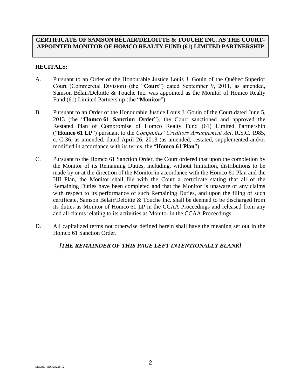## **CERTIFICATE OF SAMSON BÉLAIR/DELOITTE & TOUCHE INC. AS THE COURT-APPOINTED MONITOR OF HOMCO REALTY FUND (61) LIMITED PARTNERSHIP**

## **RECITALS:**

- A. Pursuant to an Order of the Honourable Justice Louis J. Gouin of the Québec Superior Court (Commercial Division) (the "**Court**") dated September 9, 2011, as amended, Samson Bélair/Deloitte & Touche Inc. was appointed as the Monitor of Homco Realty Fund (61) Limited Partnership (the "**Monitor**").
- B. Pursuant to an Order of the Honourable Justice Louis J. Gouin of the Court dated June 5, 2013 (the "**Homco 61 Sanction Order**"), the Court sanctioned and approved the Restated Plan of Compromise of Homco Realty Fund (61) Limited Partnership ("**Homco 61 LP**") pursuant to the *Companies' Creditors Arrangement Act*, R.S.C. 1985, c. C-36, as amended, dated April 26, 2013 (as amended, restated, supplemented and/or modified in accordance with its terms, the "**Homco 61 Plan**").
- C. Pursuant to the Homco 61 Sanction Order, the Court ordered that upon the completion by the Monitor of its Remaining Duties, including, without limitation, distributions to be made by or at the direction of the Monitor in accordance with the Homco 61 Plan and the HII Plan, the Monitor shall file with the Court a certificate stating that all of the Remaining Duties have been completed and that the Monitor is unaware of any claims with respect to its performance of such Remaining Duties, and upon the filing of such certificate, Samson Bélair/Deloitte & Touche Inc. shall be deemed to be discharged from its duties as Monitor of Homco 61 LP in the CCAA Proceedings and released from any and all claims relating to its activities as Monitor in the CCAA Proceedings.
- D. All capitalized terms not otherwise defined herein shall have the meaning set out in the Homco 61 Sanction Order.

## *[THE REMAINDER OF THIS PAGE LEFT INTENTIONALLY BLANK]*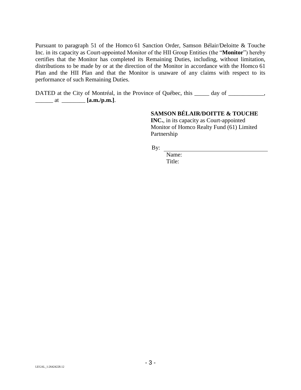Pursuant to paragraph 51 of the Homco 61 Sanction Order, Samson Bélair/Deloitte & Touche Inc. in its capacity as Court-appointed Monitor of the HII Group Entities (the "**Monitor**") hereby certifies that the Monitor has completed its Remaining Duties, including, without limitation, distributions to be made by or at the direction of the Monitor in accordance with the Homco 61 Plan and the HII Plan and that the Monitor is unaware of any claims with respect to its performance of such Remaining Duties.

DATED at the City of Montréal, in the Province of Québec, this \_\_\_\_\_ day of \_\_\_\_\_\_\_\_\_\_, \_\_\_\_\_\_ at \_\_\_\_\_\_\_\_ **[a.m./p.m.]**.

## **SAMSON BÉLAIR/DOITTE & TOUCHE**

**INC.**, in its capacity as Court-appointed Monitor of Homco Realty Fund (61) Limited Partnership

By:

Name: Title: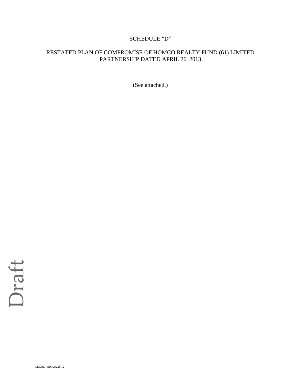## SCHEDULE "D"

## RESTATED PLAN OF COMPROMISE OF HOMCO REALTY FUND (61) LIMITED PARTNERSHIP DATED APRIL 26, 2013

(See attached.)